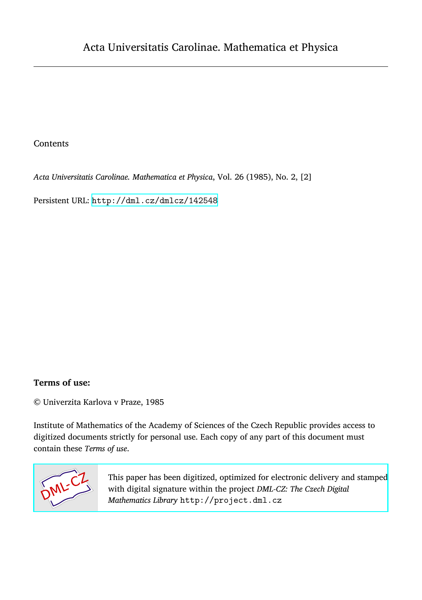### Contents

*Acta Universitatis Carolinae. Mathematica et Physica*, Vol. 26 (1985), No. 2, [2]

Persistent URL: <http://dml.cz/dmlcz/142548>

## **Terms of use:**

© Univerzita Karlova v Praze, 1985

Institute of Mathematics of the Academy of Sciences of the Czech Republic provides access to digitized documents strictly for personal use. Each copy of any part of this document must contain these *Terms of use*.



[This paper has been digitized, optimized for electronic delivery and stamped](http://project.dml.cz) with digital signature within the project *DML-CZ: The Czech Digital Mathematics Library* http://project.dml.cz